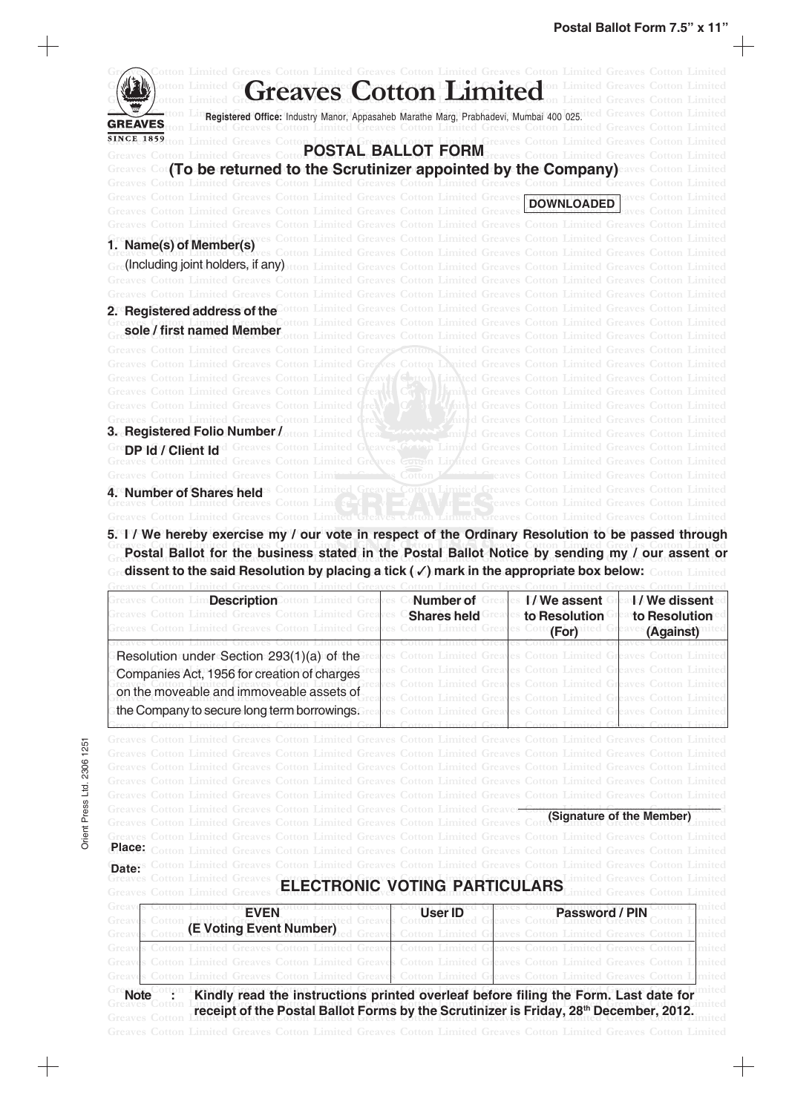| imited Greaves Cotton Limited Greaves Cotton Limited Greaves Cotton Limited Greaves Cotton Limited                                                                                                                                     |                                                           |                                              |                                                                     |
|----------------------------------------------------------------------------------------------------------------------------------------------------------------------------------------------------------------------------------------|-----------------------------------------------------------|----------------------------------------------|---------------------------------------------------------------------|
| <b>Greaves Cotton Limited Streams</b>                                                                                                                                                                                                  |                                                           |                                              |                                                                     |
|                                                                                                                                                                                                                                        |                                                           |                                              |                                                                     |
| Registered Office: Industry Manor, Appasaheb Marathe Marg, Prabhadevi, Mumbai 400 025.                                                                                                                                                 |                                                           |                                              |                                                                     |
| <b>GREAVES</b>                                                                                                                                                                                                                         |                                                           |                                              |                                                                     |
| POSTAL BALLOT FORM                                                                                                                                                                                                                     |                                                           |                                              |                                                                     |
|                                                                                                                                                                                                                                        |                                                           |                                              |                                                                     |
| (To be returned to the Scrutinizer appointed by the Company) eaves Cotton Limited<br>Cotton Limited Greaves Cotton Limited Greaves Cotton Limited Greaves Cotton Limited Greaves                                                       |                                                           |                                              |                                                                     |
| tton Limited Greaves Cotton Limited Greaves Cotton Limited Greaves                                                                                                                                                                     |                                                           |                                              |                                                                     |
| <b>Greaves Cotton Limited Greaves Cotton Limited</b>                                                                                                                                                                                   |                                                           | <b>DOWNLOADED</b>                            |                                                                     |
| Limited Greaves Cotton Limited Greaves Cotton Limited Greaves Cotton Limited Greaves                                                                                                                                                   |                                                           |                                              |                                                                     |
|                                                                                                                                                                                                                                        |                                                           |                                              |                                                                     |
| <b>1<sup>re</sup>Name(s) of Member(s)</b> es Cotton Limited Greaves Cotton Limited Greaves Cotton Limited Greaves<br>Creaves Contract Correct Cotton Limited Greaves Cotton Limited Greaves Cotton Limited Greaves                     |                                                           |                                              |                                                                     |
| (Including joint holders, if any) tton Limited Greaves Cotton Limited Greaves Cotton Limited Greaves Cotton Limited                                                                                                                    |                                                           |                                              |                                                                     |
| Cotton Limited Greaves Cotton Limited Greaves Cotton Limited Greaves Cotton Limited Greaves Cotton Limited                                                                                                                             |                                                           |                                              |                                                                     |
| Greaves Cotton Limited Greaves Cotton Limited Greaves Cotton Limited Greaves Cotton Limited Greaves Cotton I                                                                                                                           |                                                           |                                              |                                                                     |
| 2. Registered address of the Cotton Limited Greaves Cotton Limited Greaves Cotton Limited Greaves                                                                                                                                      |                                                           |                                              |                                                                     |
| <b>sole / first named Member Atton I imited</b>                                                                                                                                                                                        | <b>Cotton Limited Greaves Cotton Limited Greaves</b>      |                                              |                                                                     |
|                                                                                                                                                                                                                                        | aves Cotton Limited Greaves Cotton Limited Greaves Cotton |                                              |                                                                     |
| <b>Cotton Limited Greaves Cotton Limited</b>                                                                                                                                                                                           |                                                           |                                              | <b>Cotton Limited Greaves Cotton Limited Greaves Cotton Limited</b> |
| Cotton Limited Greaves Cotton Limited Greaves Cotton Limited Greaves Cotton Limited Greaves Cotton Limited                                                                                                                             |                                                           |                                              |                                                                     |
| Cotton Limited Greaves Cotton Limited Greaves detail Limited Greaves Cotton Limited Greaves Cotton Limited                                                                                                                             |                                                           |                                              |                                                                     |
| Limited Greaves Cotton Limited<br>otton Limited Greaves Cotton Limited                                                                                                                                                                 | Co or Umiled Greaves Cotton Limited Greaves Cotton        |                                              | <b>Greaves Cotton Limited Greaves Cotton I</b>                      |
| <b>Cotton Limited Greaves Cotton Limited</b>                                                                                                                                                                                           |                                                           | <b>Greaves Cotton Limited Greaves Cotton</b> |                                                                     |
| <b>3. Registered Folio Number/</b> otton Limited Great                                                                                                                                                                                 |                                                           | <b>Greaves Cotton Limited Greaves Cotton</b> |                                                                     |
|                                                                                                                                                                                                                                        |                                                           |                                              |                                                                     |
| <b>DP 1d / Client Id</b> d Greaves Cotton Limited Greaves Cotton Limited Greaves Cotton Limited Greaves Cotton Limited<br>Laves Cotton Limited Greaves Cotton Limited Greaves Cotton Limited Greaves Cotton Limited Greaves Cotton Lim |                                                           |                                              |                                                                     |
| Cotton<br><b>Greaves Cotton Limited Greaves Cotton Limits</b>                                                                                                                                                                          |                                                           |                                              | <b>Exercise Cotton Limited Greaves Cotton Limited</b>               |
| s Cotton Limited Greaves Cotton Limited Greaves Cotton Limited Greaves<br>4. Number of Shares held                                                                                                                                     |                                                           |                                              |                                                                     |
|                                                                                                                                                                                                                                        |                                                           |                                              |                                                                     |
| Greaves Coffon Limited                                                                                                                                                                                                                 |                                                           |                                              |                                                                     |

5. I / We hereby exercise my / our vote in respect of the Ordinary Resolution to be passed through Greaves Cotton Limited Greaves Cotton Limited Greaves Cotton Limited Greaves Cotton Limited Greaves Cotton Limited **Creaves Continuity Discon Limited Greater Control Limited Greater Control Limited Greater Control Control Control Control Control Control Control Control Control Control Control Control Control Control Control Control Con** Gredissent to the said Resolution by placing a tick ( $\checkmark$ ) mark in the appropriate box below: Cotton Limited

| Cotton LimDescriptionCotton Limited Grea<br>otton Limited Greaves Cotton Limited Greaves<br><b>Greaves Cotton Limited Greaves Cotton Limited Greav</b>                                           | res<br><b>Shares held Great</b> | es Cotto<br>(For)                               | <b>Conumber of Greates D/We assent Great / We dissent</b><br><sup>es</sup> to Resolution <sup>Gr</sup> anto Resolution<br>(Against) |
|--------------------------------------------------------------------------------------------------------------------------------------------------------------------------------------------------|---------------------------------|-------------------------------------------------|-------------------------------------------------------------------------------------------------------------------------------------|
| Resolution under Section 293(1)(a) of the<br>Companies Act, 1956 for creation of charges<br>on the moveable and immoveable assets of<br>the Company to secure long term borrowings. Frea         | imited Greav                    | otton Limited Greaves Cotton Limited G<br>Greav |                                                                                                                                     |
| tton Limited Greaves Cotton Limited Greaves Cotton Limited Greaves Cotton Limited Greaves C                                                                                                      |                                 |                                                 | Cotton Limited Greaves Cotton I                                                                                                     |
| <b>Greaves Cotton Limited Greaves Cotton Limited Greave</b><br><b>Greaves Cotton Limited Greaves Cotton Limited</b>                                                                              |                                 |                                                 | (Signature of the Member)                                                                                                           |
| Place:<br>Greaves Cotton Limited Greaves Cotton Limited Greaves Cotton Limited<br>Date:<br><b>ELECTRONIC VOTING PARTICULARS</b>                                                                  |                                 |                                                 |                                                                                                                                     |
| <b>EVEN</b><br>(E Voting Event Number)                                                                                                                                                           | <b>User ID</b>                  | Cotton Limited                                  | Password / PIN                                                                                                                      |
| s Cotton Limited Greaves Cotton Limited Greaves Cotton Limited Greaves Cotton Limited Greaves Cotton                                                                                             |                                 |                                                 |                                                                                                                                     |
| Kindly read the instructions printed overleaf before filing the Form. Last date for<br>Note<br>receipt of the Postal Ballot Forms by the Scrutinizer is Friday, 28 <sup>th</sup> December, 2012. |                                 |                                                 |                                                                                                                                     |

 $+$ 

╅